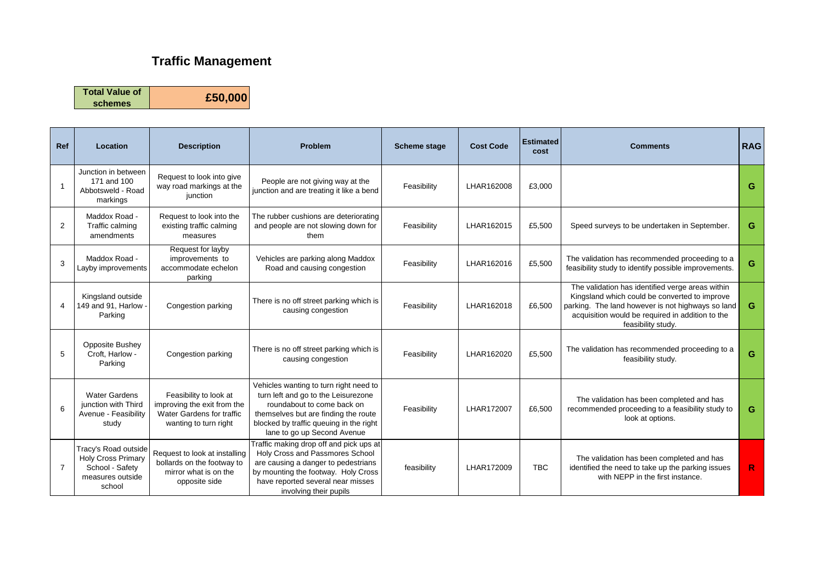## **Traffic Management**

**Total Value of schemes £50,000**

**Ref Location Description Problem Scheme stage Cost Code Estimated cost Comments RAG** 1 Junction in between 171 and 100 Abbotsweld - Road markings Request to look into give way road markings at the iunction People are not giving way at the junction and are treating it like a bend Feasibility LHAR162008 £3,000 **G** 2 Maddox Road - Traffic calming amendments Request to look into the existing traffic calming measures The rubber cushions are deteriorating and people are not slowing down for them Feasibility | LHAR162015 | £5,500 | Speed surveys to be undertaken in September. **G** 3 Maddox Road - Layby improvements Request for layby improvements to accommodate echelon parking Vehicles are parking along Maddox hicles are parking along Maddox **Feasibility** LHAR162016 **E5,500** The validation has recommended proceeding to a **G**<br>Road and causing congestion 4 Kingsland outside 149 and 91, Harlow Parking Congestion parking There is no off street parking which is The off street parking which is<br>
Feasibility  $\begin{array}{|l|l|}\n\hline\n\end{array}$  LHAR162018
<br>  $\begin{array}{|l|l|}\n\hline\n\end{array}$  E6,500 The validation has identified verge areas within Kingsland which could be converted to improve parking. The land however is not highways so land acquisition would be required in addition to the feasibility study. **G** 5 Opposite Bushey Croft, Harlow - Parking Congestion parking There is no off street parking which is<br>causing congestion Feasibility | LHAR162020 | £5,500 The validation has recommended proceeding to a as recommended proceeding to a **G**<br>feasibility study. 6 Water Gardens junction with Third Avenue - Feasibility study Feasibility to look at improving the exit from the Water Gardens for traffic wanting to turn right Vehicles wanting to turn right need to turn left and go to the Leisurezone roundabout to come back on themselves but are finding the route blocked by traffic queuing in the right lane to go up Second Avenue Feasibility LHAR172007 £6,500 The validation has been completed and has recommended proceeding to a feasibility study to look at options. **G** 7 Tracy's Road outside Holy Cross Primary School - Safety measures outside school Request to look at installing bollards on the footway to mirror what is on the opposite side Traffic making drop off and pick ups at Holy Cross and Passmores School are causing a danger to pedestrians by mounting the footway. Holy Cross have reported several near misses involving their pupils feasibility | LHAR172009 | TBC The validation has been completed and has identified the need to take up the parking issues with NEPP in the first instance. **R**